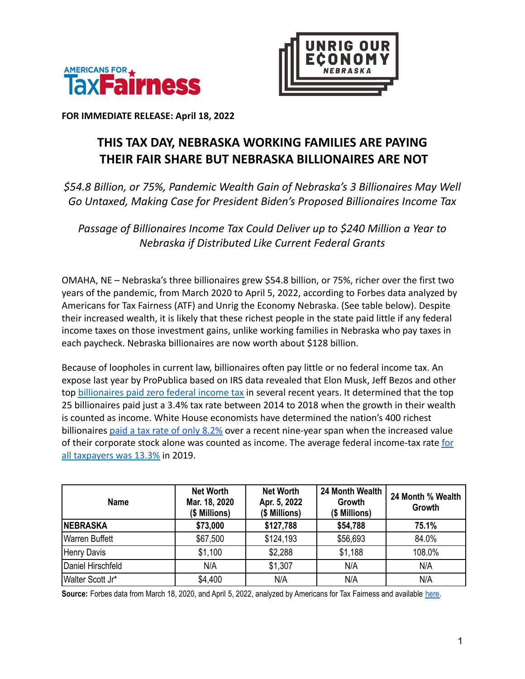



**FOR IMMEDIATE RELEASE: April 18, 2022**

## **THIS TAX DAY, NEBRASKA WORKING FAMILIES ARE PAYING THEIR FAIR SHARE BUT NEBRASKA BILLIONAIRES ARE NOT**

*\$54.8 Billion, or 75%, Pandemic Wealth Gain of Nebraska's 3 Billionaires May Well Go Untaxed, Making Case for President Biden's Proposed Billionaires Income Tax*

*Passage of Billionaires Income Tax Could Deliver up to \$240 Million a Year to Nebraska if Distributed Like Current Federal Grants*

OMAHA, NE – Nebraska's three billionaires grew \$54.8 billion, or 75%, richer over the first two years of the pandemic, from March 2020 to April 5, 2022, according to Forbes data analyzed by Americans for Tax Fairness (ATF) and Unrig the Economy Nebraska. (See table below). Despite their increased wealth, it is likely that these richest people in the state paid little if any federal income taxes on those investment gains, unlike working families in Nebraska who pay taxes in each paycheck. Nebraska billionaires are now worth about \$128 billion.

Because of loopholes in current law, billionaires often pay little or no federal income tax. An expose last year by ProPublica based on IRS data revealed that Elon Musk, Jeff Bezos and other top [billionaires paid zero federal income tax](https://americansfortaxfairness.org/wp-content/uploads/ProPublica-Billionaires-Fact-Sheet-Updated.pdf) in several recent years. It determined that the top 25 billionaires paid just a 3.4% tax rate between 2014 to 2018 when the growth in their wealth is counted as income. White House economists have determined the nation's 400 richest billionaires [paid a tax rate of only 8.2%](https://www.whitehouse.gov/cea/written-materials/2021/09/23/what-is-the-average-federal-individual-income-tax-rate-on-the-wealthiest-americans/) over a recent nine-year span when the increased value of their corporate stock alone was counted as income. The average federal income-tax rate [for](https://taxfoundation.org/summary-latest-federal-income-tax-data-2022-update/) [all taxpayers was 13.3%](https://taxfoundation.org/summary-latest-federal-income-tax-data-2022-update/) in 2019.

| <b>Name</b>           | <b>Net Worth</b><br>Mar. 18, 2020<br>(\$ Millions) | <b>Net Worth</b><br>Apr. 5, 2022<br>(\$ Millions) | 24 Month Wealth<br>Growth<br>(\$ Millions) | 24 Month % Wealth<br>Growth |
|-----------------------|----------------------------------------------------|---------------------------------------------------|--------------------------------------------|-----------------------------|
| <b>INEBRASKA</b>      | \$73,000                                           | \$127,788                                         | \$54,788                                   | 75.1%                       |
| <b>Warren Buffett</b> | \$67,500                                           | \$124,193                                         | \$56,693                                   | 84.0%                       |
| <b>Henry Davis</b>    | \$1,100                                            | \$2,288                                           | \$1,188                                    | 108.0%                      |
| Daniel Hirschfeld     | N/A                                                | \$1,307                                           | N/A                                        | N/A                         |
| Walter Scott Jr*      | \$4,400                                            | N/A                                               | N/A                                        | N/A                         |

Source: Forbes data from March 18, 2020, and April 5, 2022, analyzed by Americans for Tax Fairness and available [here.](https://docs.google.com/spreadsheets/d/1MksOhwmIojtZihAmPcfcYeaGoG3FOFZmiKUza1dIRD4/edit?usp=sharing)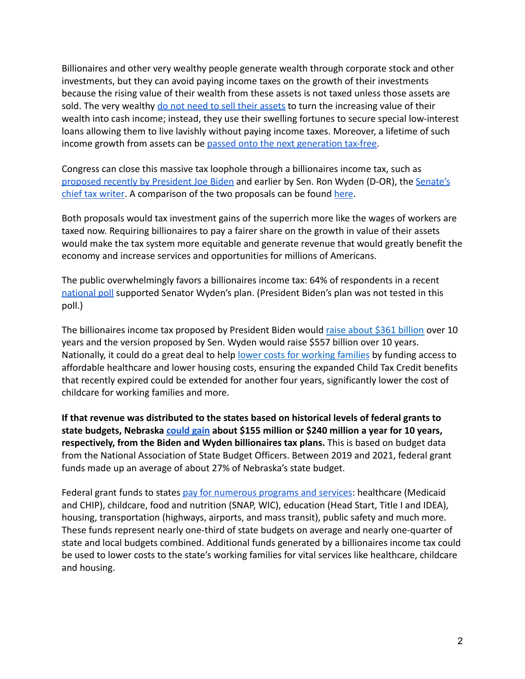Billionaires and other very wealthy people generate wealth through corporate stock and other investments, but they can avoid paying income taxes on the growth of their investments because the rising value of their wealth from these assets is not taxed unless those assets are sold. The very wealthy [do not need to sell their assets](https://www.wsj.com/articles/buy-borrow-die-how-rich-americans-live-off-their-paper-wealth-11625909583) to turn the increasing value of their wealth into cash income; instead, they use their swelling fortunes to secure special low-interest loans allowing them to live lavishly without paying income taxes. Moreover, a lifetime of such income growth from assets can be [passed onto the next](https://americansfortaxfairness.org/issue/stop-protecting-billionaires-close-stepped-basis-loophole/) generation tax-free.

Congress can close this massive tax loophole through a billionaires income tax, such as [proposed recently by President Joe Biden](https://www.nytimes.com/2022/03/28/us/politics/biden-billionaire-tax.html) and earlier by Sen. Ron Wyden (D-OR), the [Senate's](https://www.finance.senate.gov/chairmans-news/wyden-unveils-billionaires-income-tax) [chief tax writer](https://www.finance.senate.gov/chairmans-news/wyden-unveils-billionaires-income-tax). A comparison of the two proposals can be found [here](https://americansfortaxfairness.org/issue/comparison-biden-wyden-billionaires-income-tax-proposals-short/).

Both proposals would tax investment gains of the superrich more like the wages of workers are taxed now. Requiring billionaires to pay a fairer share on the growth in value of their assets would make the tax system more equitable and generate revenue that would greatly benefit the economy and increase services and opportunities for millions of Americans.

The public overwhelmingly favors a billionaires income tax: 64% of respondents in a recen[t](https://docs.google.com/document/d/1AhWvucOLV2qY6izLkZvHpPig6DDmdFaCbmeM-5E65Xw/edit) [national poll](https://docs.google.com/document/d/1AhWvucOLV2qY6izLkZvHpPig6DDmdFaCbmeM-5E65Xw/edit) supported Senator Wyden's plan. (President Biden's plan was not tested in this poll.)

The billionaires income tax proposed by President Biden would [raise about \\$361 billion](https://americansfortaxfairness.org/issue/comparison-biden-wyden-billionaires-income-tax-proposals-short/) over 10 years and the version proposed by Sen. Wyden would raise \$557 billion over 10 years. Nationally, it could do a great deal to help lower [costs for working families](https://americansfortaxfairness.org/issue/6-ways-spend-revenue-billionaires-income-tax/) by funding access to affordable healthcare and lower housing costs, ensuring the expanded Child Tax Credit benefits that recently expired could be extended for another four years, significantly lower the cost of childcare for working families and more.

**If that revenue was distributed to the states based on historical levels of federal grants to state budgets, Nebraska [could gain](https://docs.google.com/spreadsheets/d/1uMGQ0_Ow8ssIrktfYIvIQZwB44zOHf82ILpvh5kzWUI/edit?usp=sharing) about \$155 million or \$240 million a year for 10 years, respectively, from the Biden and Wyden billionaires tax plans.** This is based on budget data from the National Association of State Budget Officers. Between 2019 and 2021, federal grant funds made up an average of about 27% of Nebraska's state budget.

Federal grant funds to states [pay for numerous programs](https://www.cbpp.org/research/state-budget-and-tax/federal-aid-to-state-and-local-governments) and services: healthcare (Medicaid and CHIP), childcare, food and nutrition (SNAP, WIC), education (Head Start, Title I and IDEA), housing, transportation (highways, airports, and mass transit), public safety and much more. These funds represent nearly one-third of state budgets on average and nearly one-quarter of state and local budgets combined. Additional funds generated by a billionaires income tax could be used to lower costs to the state's working families for vital services like healthcare, childcare and housing.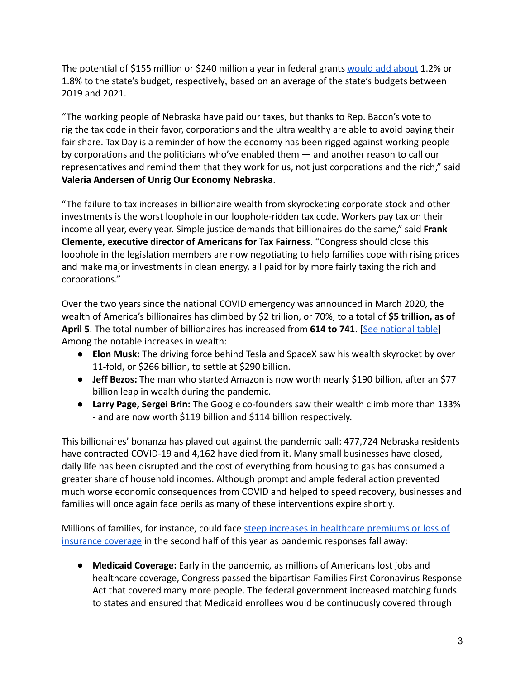The potential of \$155 million or \$240 million a year in federal grants [would add about](https://docs.google.com/spreadsheets/d/1uMGQ0_Ow8ssIrktfYIvIQZwB44zOHf82ILpvh5kzWUI/edit?usp=sharing) 1.2% or 1.8% to the state's budget, respectively, based on an average of the state's budgets between 2019 and 2021.

"The working people of Nebraska have paid our taxes, but thanks to Rep. Bacon's vote to rig the tax code in their favor, corporations and the ultra wealthy are able to avoid paying their fair share. Tax Day is a reminder of how the economy has been rigged against working people by corporations and the politicians who've enabled them — and another reason to call our representatives and remind them that they work for us, not just corporations and the rich," said **Valeria Andersen of Unrig Our Economy Nebraska**.

"The failure to tax increases in billionaire wealth from skyrocketing corporate stock and other investments is the worst loophole in our loophole-ridden tax code. Workers pay tax on their income all year, every year. Simple justice demands that billionaires do the same," said **Frank Clemente, executive director of Americans for Tax Fairness**. "Congress should close this loophole in the legislation members are now negotiating to help families cope with rising prices and make major investments in clean energy, all paid for by more fairly taxing the rich and corporations."

Over the two years since the national COVID emergency was announced in March 2020, the wealth of America's billionaires has climbed by \$2 trillion, or 70%, to a total of **\$5 trillion, as of April 5**. The total number of billionaires has increased from **614 to 741**. [[See national table](https://docs.google.com/spreadsheets/d/1MksOhwmIojtZihAmPcfcYeaGoG3FOFZmiKUza1dIRD4/edit?usp=sharing)] Among the notable increases in wealth:

- **Elon Musk:** The driving force behind Tesla and SpaceX saw his wealth skyrocket by over 11-fold, or \$266 billion, to settle at \$290 billion.
- **Jeff Bezos:** The man who started Amazon is now worth nearly \$190 billion, after an \$77 billion leap in wealth during the pandemic.
- **Larry Page, Sergei Brin:** The Google co-founders saw their wealth climb more than 133% - and are now worth \$119 billion and \$114 billion respectively.

This billionaires' bonanza has played out against the pandemic pall: 477,724 Nebraska residents have contracted COVID-19 and 4,162 have died from it. Many small businesses have closed, daily life has been disrupted and the cost of everything from housing to gas has consumed a greater share of household incomes. Although prompt and ample federal action prevented much worse economic consequences from COVID and helped to speed recovery, businesses and families will once again face perils as many of these interventions expire shortly.

Millions of families, for instance, could face steep [increases in healthcare premiums or loss of](https://www.nytimes.com/2022/04/04/opinion/covid-medicaid-loss.html) [insurance coverage](https://www.nytimes.com/2022/04/04/opinion/covid-medicaid-loss.html) in the second half of this year as pandemic responses fall away:

● **Medicaid Coverage:** Early in the pandemic, as millions of Americans lost jobs and healthcare coverage, Congress passed the bipartisan Families First Coronavirus Response Act that covered many more people. The federal government increased matching funds to states and ensured that Medicaid enrollees would be continuously covered through